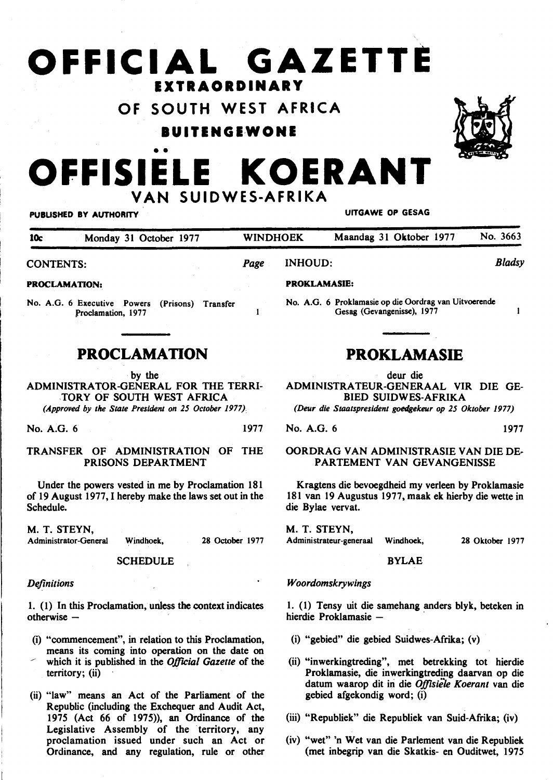# **OFFICIAL GAZETTE EXTRAORDINARY**

**OF SOUTH WEST AFRICA** 

**BUITENGEWONE** 



## •• **OFFISIELE KOERANT VAN SUIDWES-AFRIKA**

#### PUBLISHED BY AUTHORITY **EXECUTE A SECURE 2018** UITGAWE OP GESAG

| 10c<br>Monday 31 October 1977 |      | <b>WINDHOEK</b> |                     | Maandag 31 Oktober 1977 | No. 3663 |
|-------------------------------|------|-----------------|---------------------|-------------------------|----------|
| <b>CONTENTS:</b>              | Page | <b>INHOUD:</b>  |                     | <b>Bladsy</b>           |          |
| <b>PROCLAMATION:</b>          |      |                 | <b>PROKLAMASIE:</b> |                         |          |

No. A.G. 6 Executive Powers (Prisons) Transfer Proclamation, 1977

### **PROCLAMATION**

by the

ADMINISTRATOR-GENERAL FOR THE TERRI- ,TORY OF SOUTH WEST AFRICA

*(Approved by the State President on 25 October 1977)* 

No. A.G. 6 1977

#### TRANSFER OF ADMINISTRATION OF THE PRISONS DEPARTMENT

Under the powers vested in me by Proclamation 181 of 19 August 1977, I hereby make the laws set out in the Schedule.

M. T. STEYN,

Administrator-General Windhoek, 28 October 1977

**SCHEDULE** 

#### *Definitions*

1. (1) In this Proclamation, unless the context indicates otherwise -

- (i) "commencement", in relation to this Proclamation, means its coming into operation on the date on which it is published in the *Official Gazette* of the  $territory$ ; (ii)
- (ii) "law" means an Act of the Parliament of the Republic (including the Exchequer and Audit Act, 1975 (Act 66 of 1975)), an Ordinance of the Legislative Assembly of the territory, any proclamation issued under such an Act or Ordinance, and any regulation, rule or other

No. A.G. 6 Proklamasie op die Oordrag van Uitvoerende Gesag (Gevangenisse), 1977

### **PROKLAMASIE**

deur die

ADMINISTRATEUR-GENERAAL VIR DIE GE-BIED SUIDWES-AFRIKA

*(Deur die Staatspresident goedgekeur op 25 Oktober 1977)* 

No. A.G. 6 1977

## OORDRAG VAN ADMINISTRASIE VAN DIE DE·

PARTEMENT VAN GEVANGENISSE Kragtens die bevoegdheid my verleen by Proklamasie

181 van 19 Augustus 1977, maak ek hierby die wette in die Bylae vervat.

M. T. STEYN,

Administrateur-generaal Windhoek,

28 Oktober 1977

 $\mathbf{I}$ 

#### BYLAE

#### *Woordomskrywings*

1. (1) Tensy uit die samehang anders blyk, beteken in hierdie Proklamasie -

- (i) "gebied" die gebied Suidwes-Afrika; (v)
- (ii) "inwerkingtreding", met betrekking tot hierdie Proklamasie, die inwerkingtreding daarvan op die datum waarop dit in die *Offisiele Koerant* van die gebied afgekondig word; (i)
- (iii) "Republiek" die Republiek van Suid-Afrika; (iv)
- (iv) "wet" 'n Wet van die Parlement van die Republiek (met inbegrip van die Skatkis- en Ouditwet, 197 *5*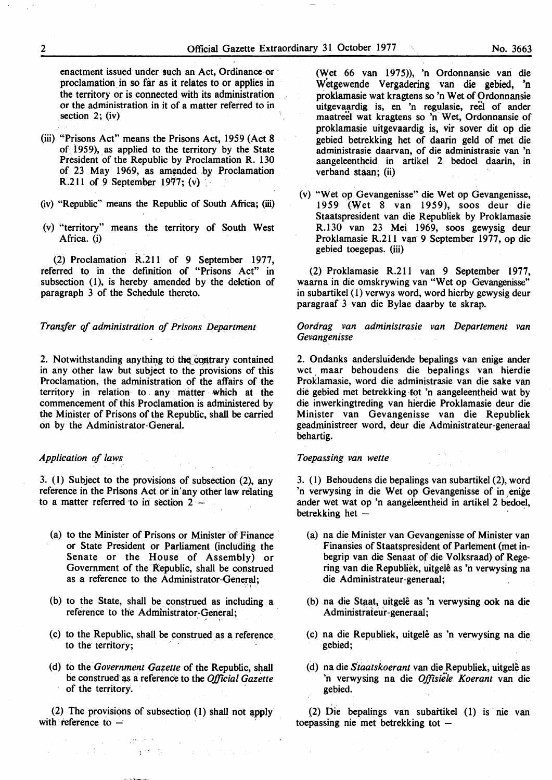enactment issued under such an Act, Ordinance or proclamation in so far as it relates to or applies in the territory or is connected with its administration or the administration in it of a matter referred to in section 2; (iv)

- (iii) "Prisons Act" means the Prisons Act, 1959 (Act 8 of 1959), as applied to the territory by the State President of the Republic by Proclamation R. 130 of 23 May 1969, as amended by Proclamation R.211 of 9 September 1977; (v)
- (iv) "Republic" means the Republic of South Africa; (iii)
- (v) "territory" means the territory of South West Africa. (i)

(2) Proclamation R.211 of 9 September 1977, referred to in the definition of "Prisons Act" in subsection (1), is hereby amended by the deletion of paragraph 3 of the Schedule thereto.

*Transfer of administration of Prisons Department* 

2. Notwithstanding anything to the contrary contained in any other law but subject to the provisions of this Proclamation, the administration of the affairs of the territory in relation to . any . matter which at the commencement of this Proclamation is administered by the Minister of Prisons of the Republic, shall be carried on by the Administrator-General.

#### *Application of laws*

3. (1) Subject to the provisions of subsection (2), any reference in the Prisons Act or in'any other law relating to a matter referred to in section  $2 -$ 

- (a) to the Minister of Prisons or Minister of Finance or State President or Parliament (including the Senate or the House of Assembly) or Government of the Republic, shall be construed as a reference to the Administrator-General;
- (b) to the State, shall be construed as including a reference to the Administrator-General;
- (c) to the Republic, shall be construed as a reference. to the territory;
- (d) to the *Government Gazette* of the Republic, shall be construed as a reference to the *Official Gazette* of the territory.

(2) The provisions of subsection (1) shall not apply with reference to  $-$ 

(Wet 66 van 1975)), 'n Ordonnansie van die Wetgewende Vergadering van die gebied, 'n proklamasie wat kragtens so 'n Wet of Ordonnansie uitgevaardig is, en 'n regulasie, reel of ander maatreel wat kragtens so 'n Wet, Ordonnansie of proklamasie uitgevaardig is, vir sover dit op die gebied betrekking bet of daarin geld of met die administrasie daarvan, of die administrasie van 'n aangeleentheid in artikel 2 bedoel daarin, in verband staan; (ii)

(v) "Wet op Gevangenisse" die Wet op Gevangenisse, 1959 (Wet 8 van 1959), soos deur die Staatspresident van die Republiek by Proklamasie R.130 van 23 Mei 1969, soos gewysig deur Proklamasie R.211 van 9 September 1977, op die gebied toegepas. (iii)

(2) Proklamasie R.211 van 9 September 1977, waama in die omskrywing van "Wet op ·Gevangenisse" in subartikel ( 1) verwys word, word hierby gewysig deur paragraaf 3 van die Bylae daarby te skrap.

*Oordrag van administrasie van Departement van Gevangenisse* 

2. Ondanks andersluidende bepalings van enige ander wet maar behoudens die bepalings van hierdie Proklamasie, word die administrasie van die sake van die gebied met betrekking tot 'n aangeleentheid wat by die inwerkingtreding van hierdie Proklamasie deur die Minister van Gevangenisse van die Republiek geadministreer word, deur die Administrateur-generaal behartig.

#### *Toepassing van wette*

3. (1) Behoudens die bepalings van subartikel (2), word 'n verwysing in die Wet op Gevangenisse of in enige ander wet wat op 'n aangeleentheid in artikel 2 bedoel, betrekking het  $-$ 

- (a) na die Minister van Gevangenisse of Minister van Finansies of Staatspresident of Parlement (met inbegrip van die Senaat of die Volksraad) of Regering van die Republiek, uitgele as 'n verwysing na die Administrateur-generaal;
- (b) na die Staat, uitgelê as 'n verwysing ook na die Administrateur-generaal;
- (c) na die Republiek, uitgele as 'n verwysing na die gebied;
- (d) na die *Staalskoerant* van die Republiek, uitgele as 'n verwysing na die *Offisieie Koerant* van die gebied.

.<br>(2) Die bepalings van subaftikel (1) is nie van toepassing nie met betrekking tot  $-$ 

 $\mathcal{F}=\frac{1}{2}\sum_{i=1}^{n} \sum_{j=1}^{n} \sum_{j=1}^{n} \sum_{j=1}^{n} \sum_{j=1}^{n} \sum_{j=1}^{n} \sum_{j=1}^{n} \sum_{j=1}^{n} \sum_{j=1}^{n} \sum_{j=1}^{n} \sum_{j=1}^{n} \sum_{j=1}^{n} \sum_{j=1}^{n} \sum_{j=1}^{n} \sum_{j=1}^{n} \sum_{j=1}^{n} \sum_{j=1}^{n} \sum_{j=1}^{n} \sum_{j=1}^{n} \sum_{j=1}^{n} \sum_{j=1}^{$  $1 - \frac{1}{4}$  (2)  $1 - \frac{1}{4}$ The Book of the State of the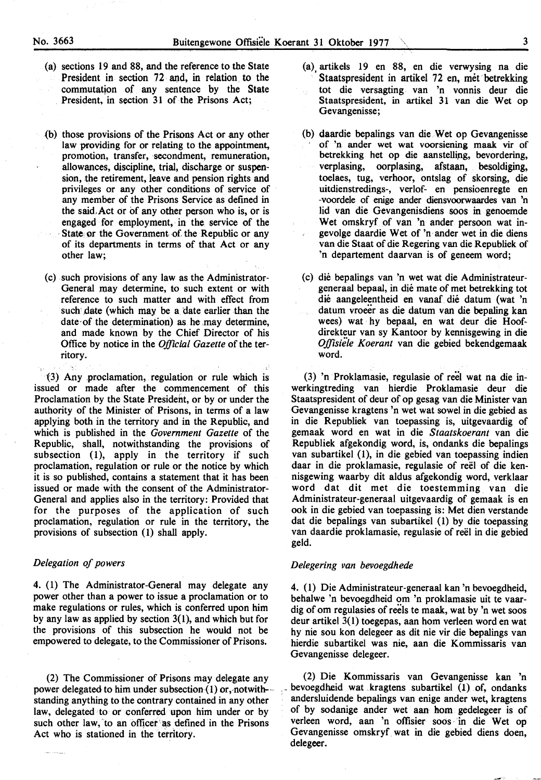- (a) sections 19 and 88, and the reference to the State President in section 72 and, in relation to the commutation of any sentence by the State President, in section 31 of the Prisons Act;
- (b) those provisions of the Prisons Act or any other law providing for or relating to the appointment, promotion, transfer, secondment, remuneration, allowances, discipline, trial, discharge or suspension, the retirement, leave and pension rights and privileges or any other conditions of service of any member of the Prisons Service as defined in the said,Act or of any other person who is, or is engaged for employment, in the service of the State or the Government of the Republic or any of its departments in terms of that Act or any other law;
- (c) such provisions of any law as the Administrator-General may determine, to such extent or . with reference to such matter and with effect from such date (which may be a date earlier than the date of the determination) as he may determine, and made known by the Chief Director of his Office by notice in the *Official Gazette* of the territory.

(3) Any ,proclamation, regulation or rule which is issued or made after the commencement of this Proclamation by the State President, or by or under the authority of the Minister of Prisons, in terms of a law applying both in the territory and in the Republic, and which is published in the *Government Gazette* of the Republic, shall, notwithstanding the provisions of subsection (1), apply in the territory if such proclamation, regulation or rule or the notice by which it is so published, contains a statement that it has been issued or made with the consent of the Administrator-General and applies also in the territory: Provided that for the purposes of the application of such proclamation, regulation or rule in the territory, the provisions of subsection (1) shall apply.

#### *Delegation of powers*

4. (1) The Administrator-General may delegate any power other than a power to issue a proclamation or to make regulations or rules, which is conferred upon him by any law as applied by section  $3(1)$ , and which but for the provisions of this subsection he would not be empowered to delegate, to the Commissioner of Prisons.

(2) The Commissioner of Prisons may delegate any power delegated to him under subsection (1) or, notwith- $\sim$ standing anything to the contrary contained in any other law, delegated ·to or conferred upon him under or by such other law, to an officer as defined in the Prisons Act who is stationed in the territory.

- (a). artikels 19 en 88, en die verwysing na die Staatspresident in artikel 72 en, mét betrekking tot die versagting. van 'n vonnis deur die Staatspresident, in artikel 31 van die Wet op Gevangenisse;
- (b) daardie bepalings van die Wet op Gevangenisse of 'n ander wet wat voorsiening maak vir of betrekking het op die aanstelling, bevordering, verplasing, oorplasing, afstaan, besoldiging, toelaes, tug, verhoor, ontslag of skorsing, die uitdienstredings-, verlof- en pensioenregte en -voordele of enige ander diensvoorwaardes van 'n lid van die Gevangenisdiens soos in genoemde Wet omskryf of van 'n ander persoon wat ingevolge daardie Wet of 'n ander wet in die diens van die Staat of die Regering van die Republiek of 'n departement daarvan is of geneem word;

(c) die bepalings van 'n wet wat die Administrateurgeneraal bepaal, in die mate of met betrekking tot die aangeleentheid en vanaf die datum (wat 'n datum vroeer as die datum van die bepaling kan wees) wat hy bepaal, en wat deur die Hoofdirekteur van sy Kantoor by kennisgewing in die *Offisieie Koerant* van die gebied bekendgemaak word.

(3) 'n Proklamasie, regulasie of reel wat na die inwerkingtreding van hierdie Proklamasie deur die Staatspresident of deur of op gesag van die Minister van Gevangenisse kragtens 'n wet wat sowel in die gebied as in die Republiek van toepassing is, uitgevaardig of gemaak word en wat in die *Staatskoerant* van die Republiek afgekondig word, is, ondanks die bepalings van subartikel (1), in die gebied van toepassing indien daar in die proklamasie, regulasie of reel of die kennisgewing waarby dit aldus afgekondig word, verklaar word dat dit met die toestemming van die Administrateur-generaal uitgevaardig of gemaak is en ook in die gebied van toepassing is: Met dien verstande dat die bepalings van subartikel (1) by die toepassing van daardie proklamasie, regulasie of reel in die gebied geld.

#### *Delegering van bevoegdhede*

4. ( 1) Die Administrateur-generaal kan 'n bevoegdheid, behalwe 'n bevoegdheid om 'n proklamasie uit te vaardig of om regulasies of reels te maak, wat by 'n wet soos deur artikel 3(1) toegepas, aan hom verleen word en wat hy nie sou kon delegeer as dit nie vir die bepalings van hierdie subartikel was nie, aan die Kommissaris van Gevangenisse delegeer.

(2) Die Kommissaris van Gevangenisse kan 'n bevoegdheid wat kragtens subartikel (1) of, ondanks andersluidende bepalings van enige ander wet, kragtens of by sodanige ander wet aan· hom gedelegeer is of verleen word, aan 'n ofiisier soos · in die Wet op Gevangenisse omskryf. wat in die gebied diens doen, delegeer.